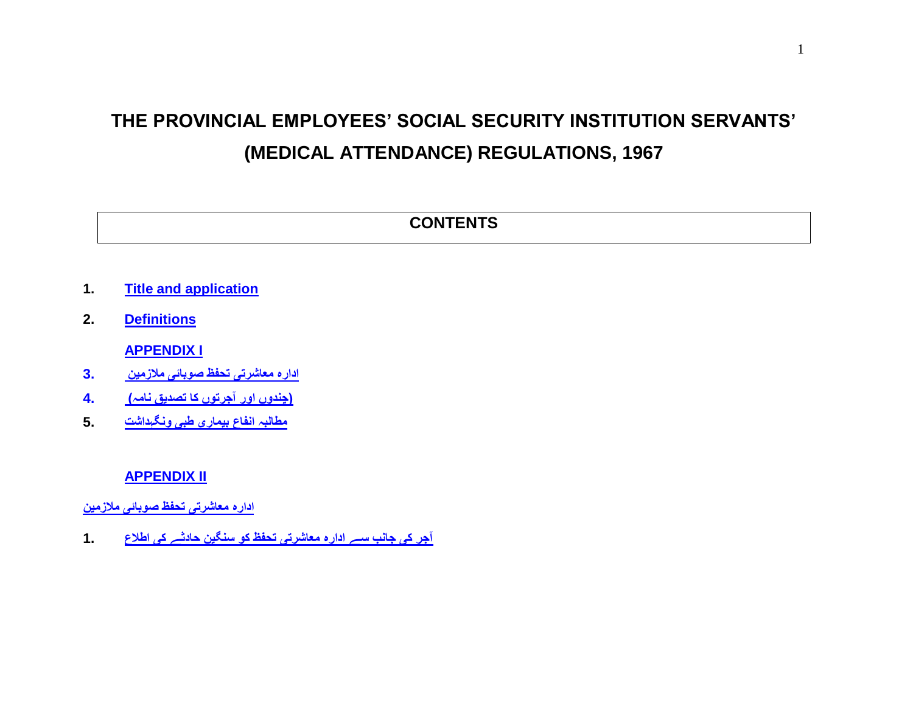## **THE PROVINCIAL EMPLOYEES' SOCIAL SECURITY INSTITUTION SERVANTS' (MEDICAL ATTENDANCE) REGULATIONS, 1967**

# **CONTENTS**

- **1. [Title and application](#page-3-0)**
- **2. [Definitions](#page-3-1)**

**[APPENDIX I](#page-7-0)**

- **[ادارہ معاشرتی تحفظ صوبائی مالزمین 3.](#page-7-0)**
- **[\)چندوں اور آجرتوں کا تصدیق نامہ\( 4.](#page-7-0)**
- **[مطالبہ انفاع بیماری طبی ونگہداشت](#page-7-0) 5.**

## **[APPENDIX II](#page-9-0)**

**[ادارہ معاشرتی تحفظ صوبائی مالزمین](#page-9-0)** 

**[آجر کی جانب سے ادارہ معاشرتی تحفظ کو سنگین حادثے کی اطالع](#page-9-0) 1.**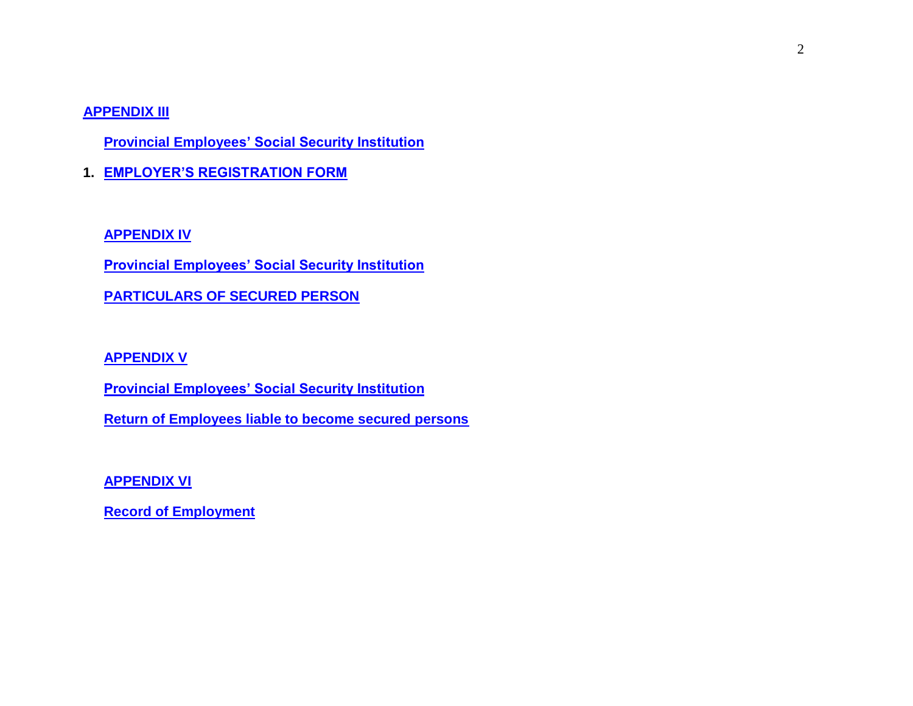#### **[APPENDIX III](#page-11-0)**

**[Provincial Employees' Social Security Institution](#page-11-0)** 

**1. [EMPLOYER'S REGISTRATION FORM](#page-11-0)**

#### **[APPENDIX IV](#page-14-0)**

**[Provincial Employees' Social Security Institution](#page-14-0)** 

**[PARTICULARS OF SECURED PERSON](#page-14-0)**

## **[APPENDIX V](#page-16-0)**

**[Provincial Employees' Social Security Institution](#page-16-0)** 

**[Return of Employees liable to become secured persons](#page-16-0)**

**[APPENDIX VI](#page-21-0)**

**[Record of Employment](#page-21-0)**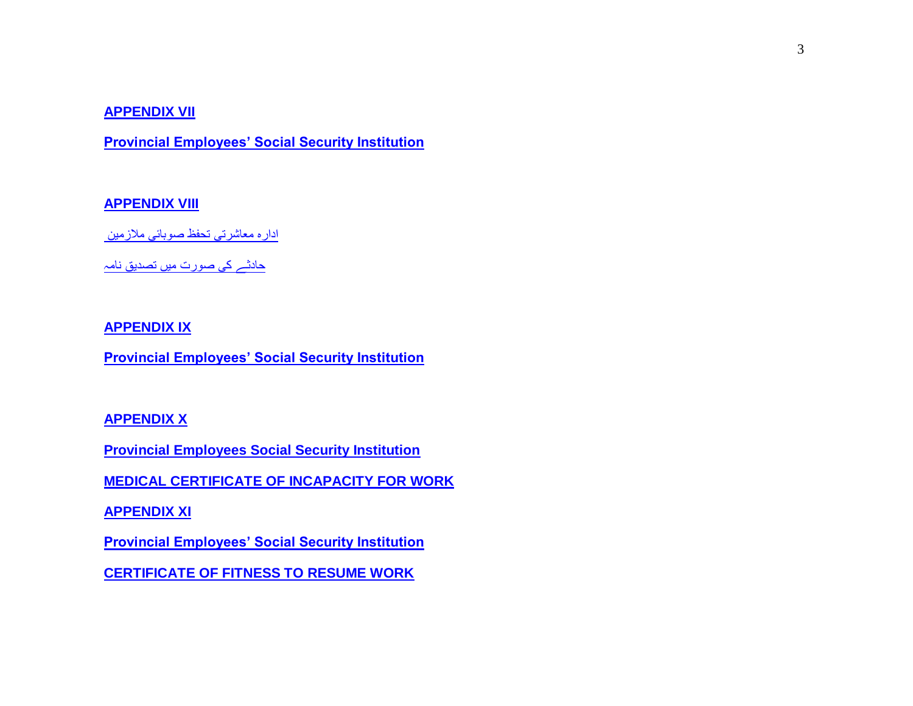#### **[APPENDIX VII](#page-23-0)**

**[Provincial Employees' Social Security Institution](#page-23-0)**

## **[APPENDIX VIII](#page-24-0)**

[ادارہ معاشرتی تحفظ صوبائی مالزمین](#page-24-0) 

[حادثے کی صورت میں تصدیق نامہ](#page-24-0)

#### **[APPENDIX IX](#page-26-0)**

**[Provincial Employees' Social Security Institution](#page-26-0)**

### **[APPENDIX X](#page-28-0)**

**[Provincial Employees Social Security Institution](#page-28-0)** 

**[MEDICAL CERTIFICATE OF INCAPACITY FOR WORK](#page-28-0)**

**[APPENDIX XI](#page-28-0)** 

**[Provincial Employees' Social Security Institution](#page-28-0)** 

**[CERTIFICATE OF FITNESS TO RESUME WORK](#page-28-0)**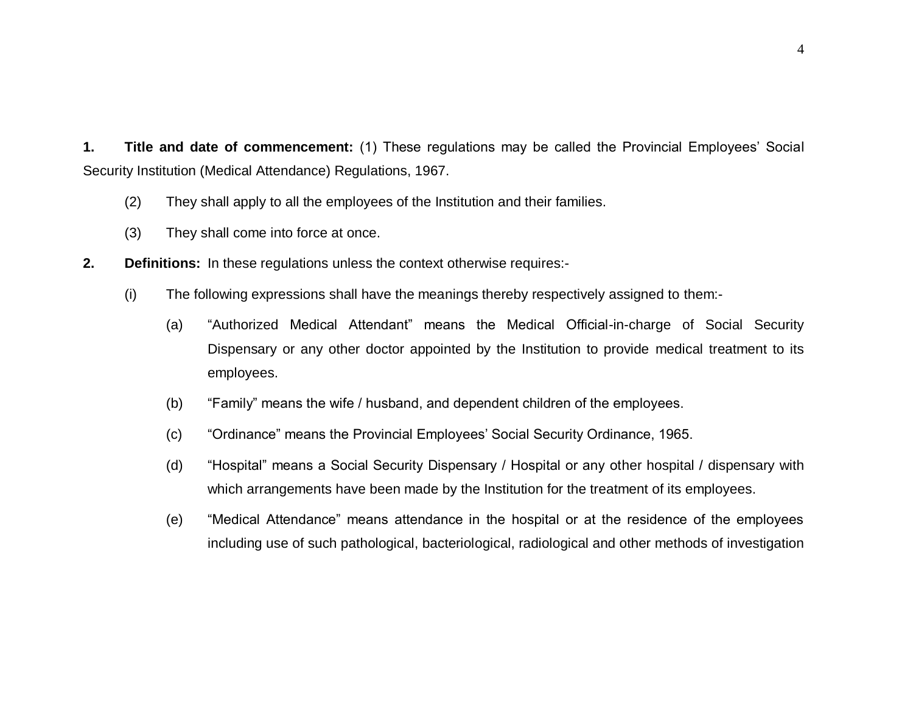<span id="page-3-0"></span>**1. Title and date of commencement:** (1) These regulations may be called the Provincial Employees' Social Security Institution (Medical Attendance) Regulations, 1967.

- (2) They shall apply to all the employees of the Institution and their families.
- <span id="page-3-1"></span>(3) They shall come into force at once.
- **2. Definitions:** In these regulations unless the context otherwise requires:-
	- (i) The following expressions shall have the meanings thereby respectively assigned to them:-
		- (a) "Authorized Medical Attendant" means the Medical Official-in-charge of Social Security Dispensary or any other doctor appointed by the Institution to provide medical treatment to its employees.
		- (b) "Family" means the wife / husband, and dependent children of the employees.
		- (c) "Ordinance" means the Provincial Employees' Social Security Ordinance, 1965.
		- (d) "Hospital" means a Social Security Dispensary / Hospital or any other hospital / dispensary with which arrangements have been made by the Institution for the treatment of its employees.
		- (e) "Medical Attendance" means attendance in the hospital or at the residence of the employees including use of such pathological, bacteriological, radiological and other methods of investigation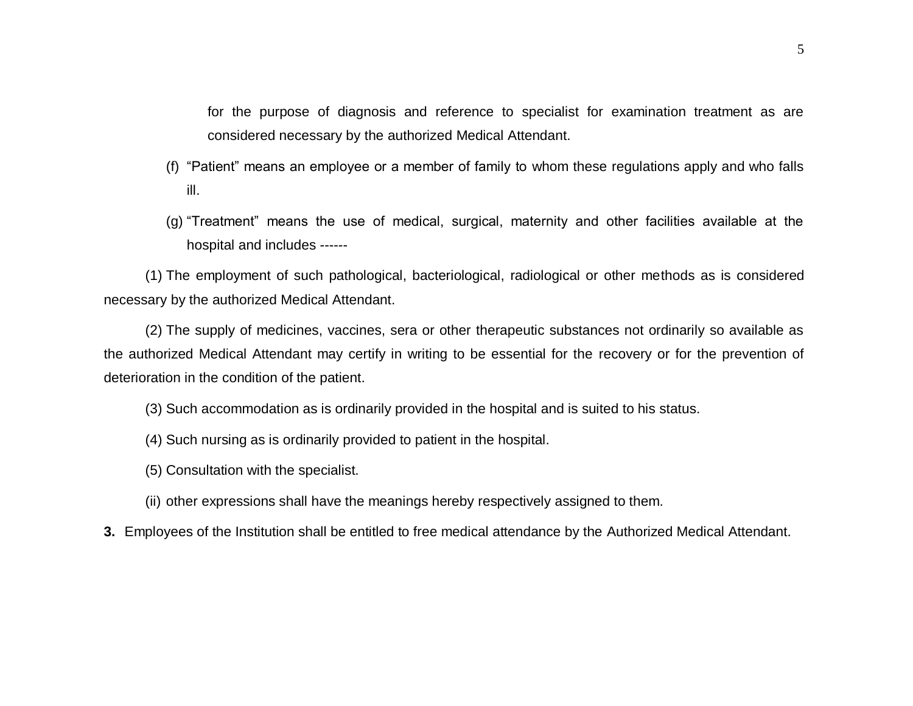for the purpose of diagnosis and reference to specialist for examination treatment as are considered necessary by the authorized Medical Attendant.

- (f) "Patient" means an employee or a member of family to whom these regulations apply and who falls ill.
- (g) "Treatment" means the use of medical, surgical, maternity and other facilities available at the hospital and includes ------

(1) The employment of such pathological, bacteriological, radiological or other methods as is considered necessary by the authorized Medical Attendant.

(2) The supply of medicines, vaccines, sera or other therapeutic substances not ordinarily so available as the authorized Medical Attendant may certify in writing to be essential for the recovery or for the prevention of deterioration in the condition of the patient.

(3) Such accommodation as is ordinarily provided in the hospital and is suited to his status.

- (4) Such nursing as is ordinarily provided to patient in the hospital.
- (5) Consultation with the specialist.
- (ii) other expressions shall have the meanings hereby respectively assigned to them.
- **3.** Employees of the Institution shall be entitled to free medical attendance by the Authorized Medical Attendant.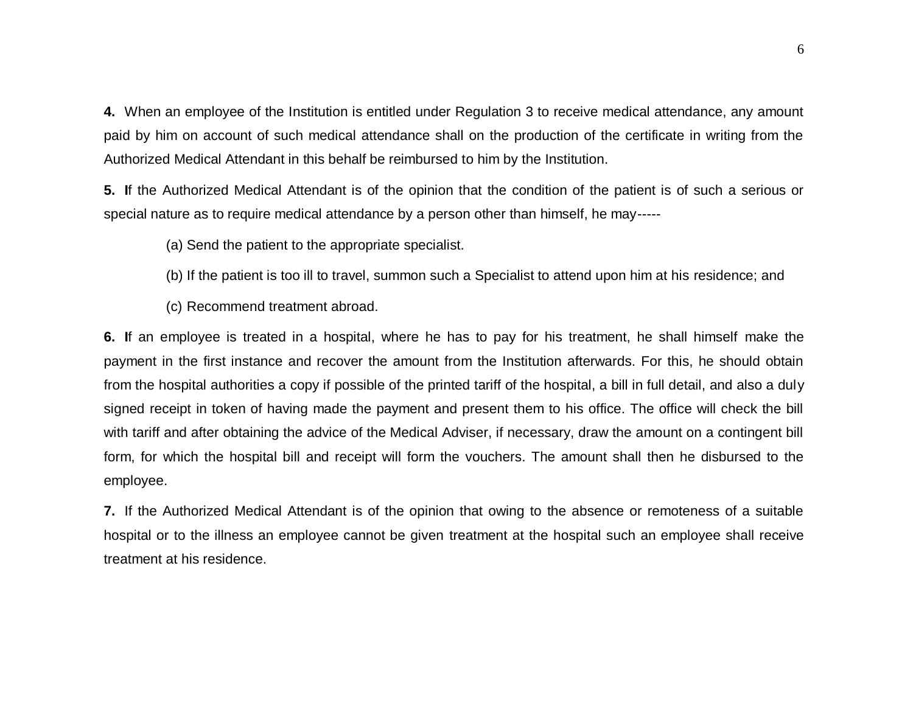**4.** When an employee of the Institution is entitled under Regulation 3 to receive medical attendance, any amount paid by him on account of such medical attendance shall on the production of the certificate in writing from the Authorized Medical Attendant in this behalf be reimbursed to him by the Institution.

**5. I**f the Authorized Medical Attendant is of the opinion that the condition of the patient is of such a serious or special nature as to require medical attendance by a person other than himself, he may-----

(a) Send the patient to the appropriate specialist.

- (b) If the patient is too ill to travel, summon such a Specialist to attend upon him at his residence; and
- (c) Recommend treatment abroad.

**6. I**f an employee is treated in a hospital, where he has to pay for his treatment, he shall himself make the payment in the first instance and recover the amount from the Institution afterwards. For this, he should obtain from the hospital authorities a copy if possible of the printed tariff of the hospital, a bill in full detail, and also a duly signed receipt in token of having made the payment and present them to his office. The office will check the bill with tariff and after obtaining the advice of the Medical Adviser, if necessary, draw the amount on a contingent bill form, for which the hospital bill and receipt will form the vouchers. The amount shall then he disbursed to the employee.

**7.** If the Authorized Medical Attendant is of the opinion that owing to the absence or remoteness of a suitable hospital or to the illness an employee cannot be given treatment at the hospital such an employee shall receive treatment at his residence.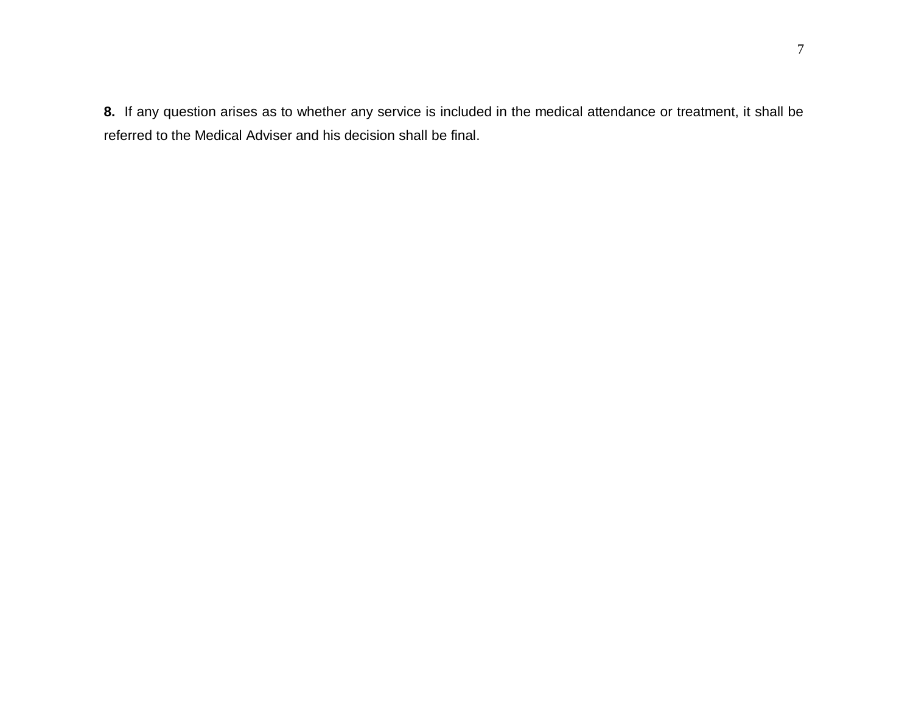**8.** If any question arises as to whether any service is included in the medical attendance or treatment, it shall be referred to the Medical Adviser and his decision shall be final.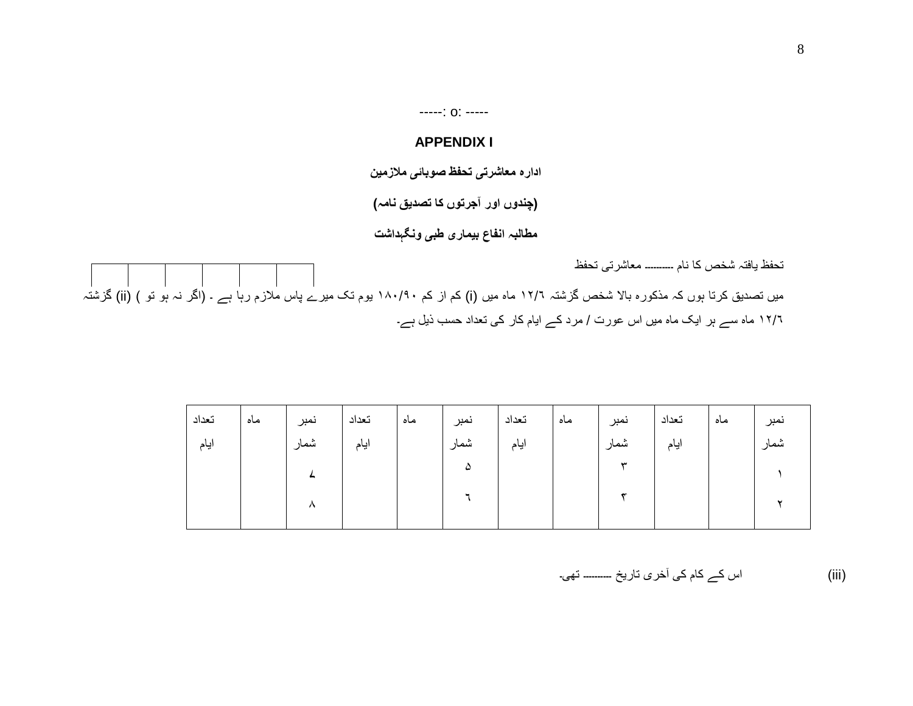-----: o: -----

### **APPENDIX I**

**ادارہ معاشرتی تحفظ صوبائی مالزمین** 

**)چندوں اور آجرتوں کا تصدیق نامہ(** 

**مطالبہ انفاع بیماری طبی ونگہداشت**

<span id="page-7-0"></span>تحفظ یافتہ شخص کا نام ۔۔۔۔۔۔۔۔۔۔ معاشرتی تحفظ میں تصدیق کرتا ہوں کہ مذکورہ بالا شخص گزشتہ ۱۲/۲ ماہ میں (i) کم از کم ۱۸۰/۹۰ یوم تک میرے پاس ملازم رہا ہے ۔ (اگر نہ ہو تو ) (ii) گزشتہ ۱۲/۶ ماہ سے ہر ایک ماہ میں اس عورت / مرد کے ایام کار کی تعداد حسب ذیل ہے۔

| تعداد | ماه | نمبر | تعداد | ماه | نمبر | تعداد | ماه | نمبر | تعداد | ماه | نمبر |
|-------|-----|------|-------|-----|------|-------|-----|------|-------|-----|------|
| ايام  |     | شمار | ايام  |     | شمار | ايام  |     | شمار | ايام  |     | شمار |
|       |     |      |       |     | ۵    |       |     | سد   |       |     |      |
|       |     |      |       |     |      |       |     |      |       |     |      |
|       |     | л    |       |     |      |       |     |      |       |     |      |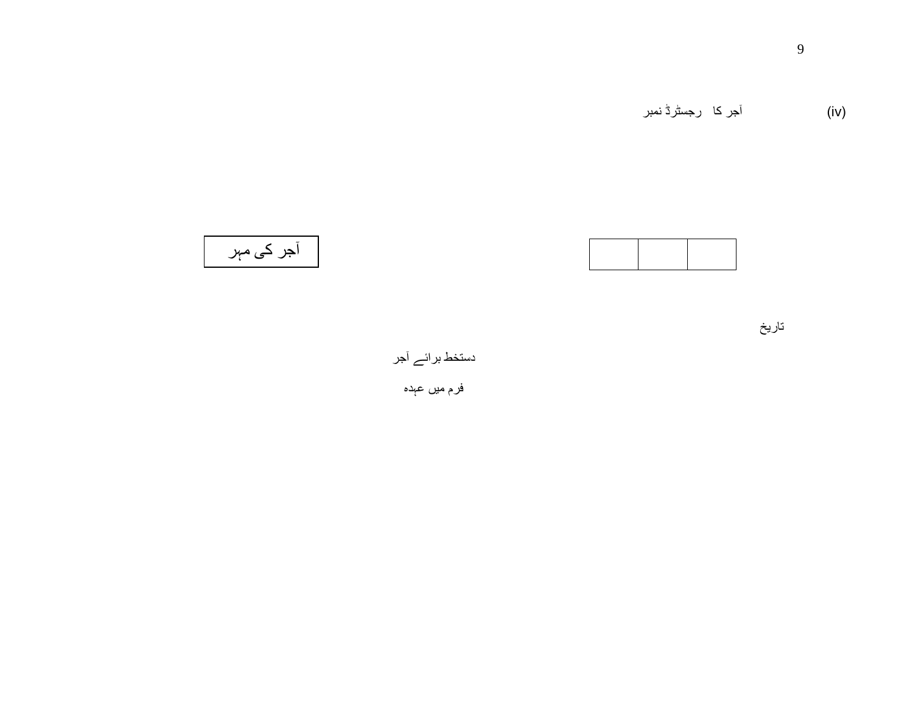

آجر کی مہر

تاریخ

دستخط برائے آجر

فرم میں عہدہ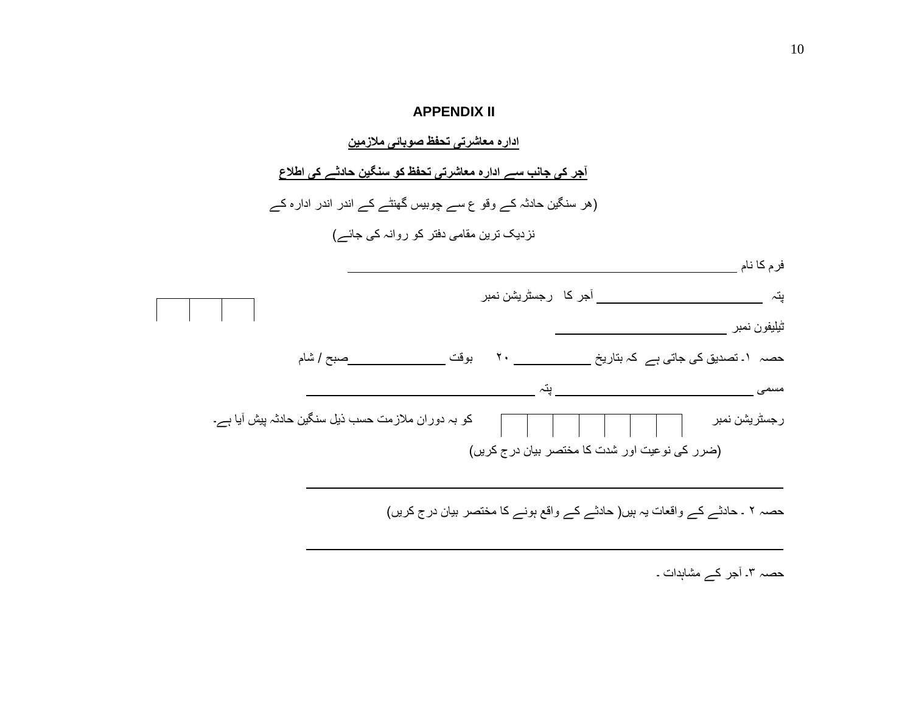#### **APPENDIX II**

**ادارہ معاشرتی تحفظ صوبائی مالزمین** 

**آجر کی جانب سے ادارہ معاشرتی تحفظ کو سنگین حادثے کی اطالع** 

)ھر سنگین حادثہ کے وقو ع سے چوبیس گھنٹے کے اندر اندر ادارہ کے نزدیک ترین مقامی دفتر کو روانہ کی جائے(

<span id="page-9-0"></span>

| فرم كا نام                                                                                                                                                                                                                                                    |                              |             |                           |  |
|---------------------------------------------------------------------------------------------------------------------------------------------------------------------------------------------------------------------------------------------------------------|------------------------------|-------------|---------------------------|--|
| يتہ                                                                                                                                                                                                                                                           | _____ آجر کا   رجسٹریشن نمبر |             |                           |  |
| ثيليفون نمبر                                                                                                                                                                                                                                                  |                              |             | $\mathbf{1}$ $\mathbf{1}$ |  |
| حصہ ۱۔ تصدیق کی جاتی ہے  کہ بتاریخ ____________________________ بوقت __                                                                                                                                                                                       |                              | __صبح / شام |                           |  |
| مسمى                                                                                                                                                                                                                                                          |                              |             |                           |  |
| ر جسٹریشن نمبر میں ایس کے استعمار کر اس کو بہ دوران ملازمت حسب ذیل سنگین حادثہ پیش آیا ہے۔<br>اس کے مطابق ایس کے مطابق کر کر اس کے مطابق کر اس کے مطابق کر اس کا مطابق کر اس کا مطابق کر اس کے مطابق کر کر ک<br>(ضرر کی نوعیت اور شدت کا مختصر بیان درج کریں) |                              |             |                           |  |
|                                                                                                                                                                                                                                                               |                              |             |                           |  |

حصہ ۲ ۔ حادثے کے واقعات یہ ہیں) حادثے کے واقع ہونے کا مختصر بیان درج کریں(

حصہ ۳۔ آجر کے مشاہدات ۔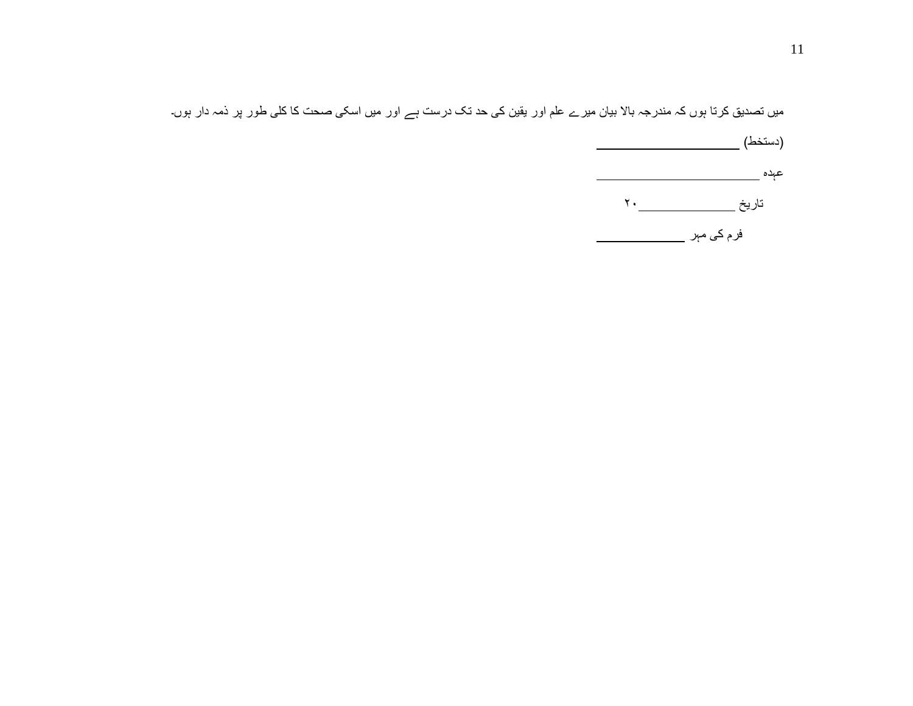میں تصدیق کرتا ہوں کہ مندرجہ باال بیان میرے علم اور یقین کی حد تک درست ہے اور میں اسکی صحت کا کلی طور پر ذمہ دار ہوں۔

)دستخط( عہدہ <u>۔ اس کے است</u> تاریخ ۲۰ فرم کی مہر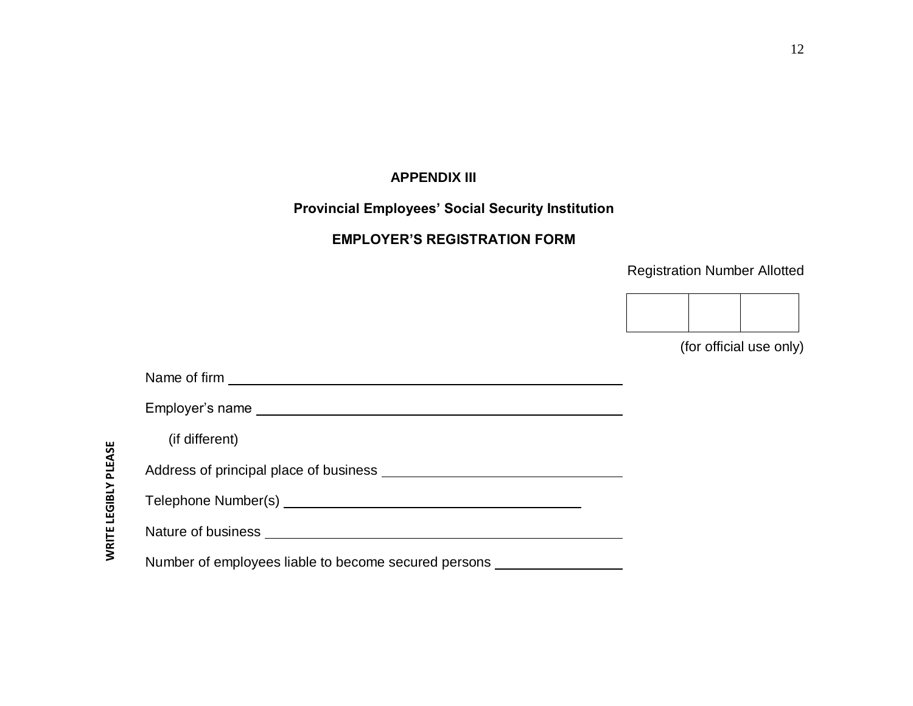## <span id="page-11-0"></span>**APPENDIX III**

## **Provincial Employees' Social Security Institution**

## **EMPLOYER'S REGISTRATION FORM**

## Registration Number Allotted



(for official use only)

| (if different)                                                                               |
|----------------------------------------------------------------------------------------------|
| Address of principal place of business <b>contained a set of principal place of business</b> |
|                                                                                              |
|                                                                                              |
| Number of employees liable to become secured persons                                         |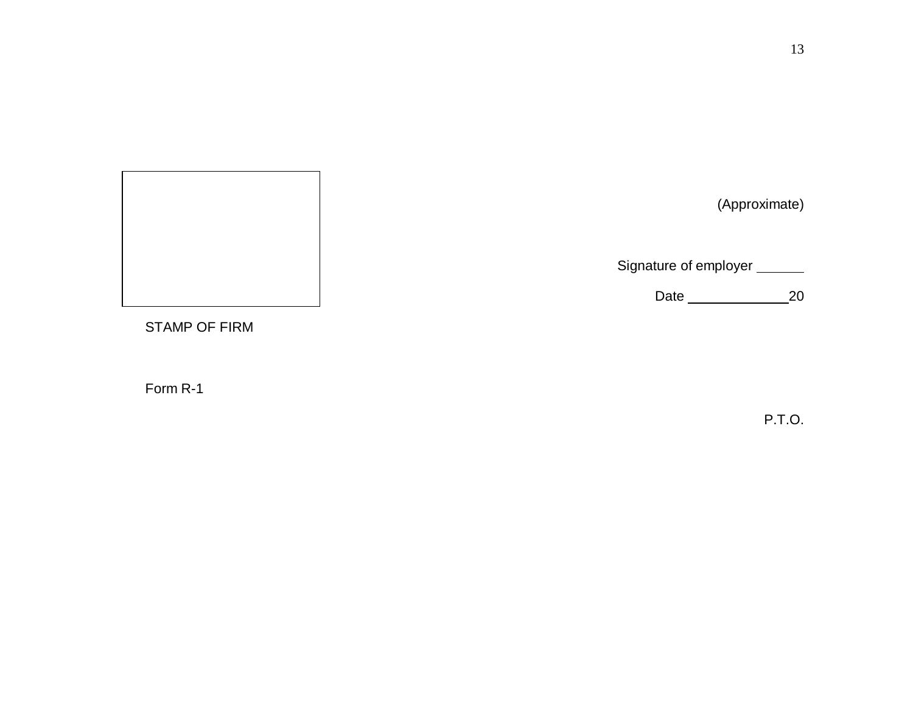| (Approximate)                              |
|--------------------------------------------|
| Signature of employer ______<br>Date<br>20 |

STAMP OF FIRM

Form R-1

P.T.O.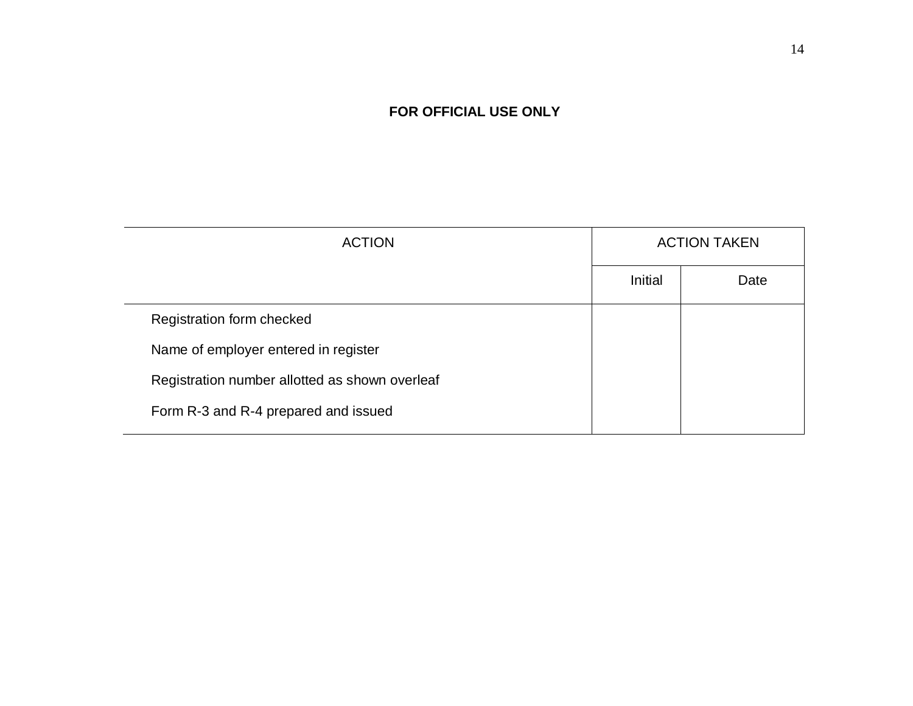## **FOR OFFICIAL USE ONLY**

| <b>ACTION</b>                                  |         | <b>ACTION TAKEN</b> |
|------------------------------------------------|---------|---------------------|
|                                                | Initial | Date                |
| Registration form checked                      |         |                     |
| Name of employer entered in register           |         |                     |
| Registration number allotted as shown overleaf |         |                     |
| Form R-3 and R-4 prepared and issued           |         |                     |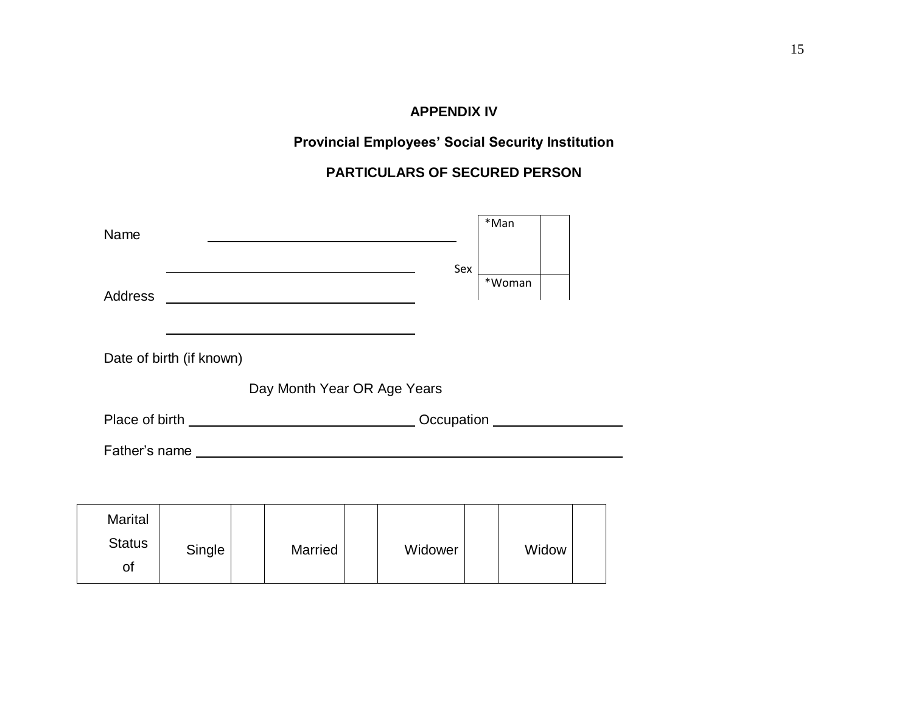## **APPENDIX IV**

## **Provincial Employees' Social Security Institution**

## **PARTICULARS OF SECURED PERSON**

<span id="page-14-0"></span>

| Name                                  |                          |                             |  |         | *Man   |  |  |  |  |
|---------------------------------------|--------------------------|-----------------------------|--|---------|--------|--|--|--|--|
| Address                               |                          |                             |  | Sex     | *Woman |  |  |  |  |
|                                       | Date of birth (if known) |                             |  |         |        |  |  |  |  |
|                                       |                          | Day Month Year OR Age Years |  |         |        |  |  |  |  |
|                                       |                          |                             |  |         |        |  |  |  |  |
|                                       |                          |                             |  |         |        |  |  |  |  |
|                                       |                          |                             |  |         |        |  |  |  |  |
| <b>Marital</b><br><b>Status</b><br>of | Single                   | <b>Married</b>              |  | Widower | Widow  |  |  |  |  |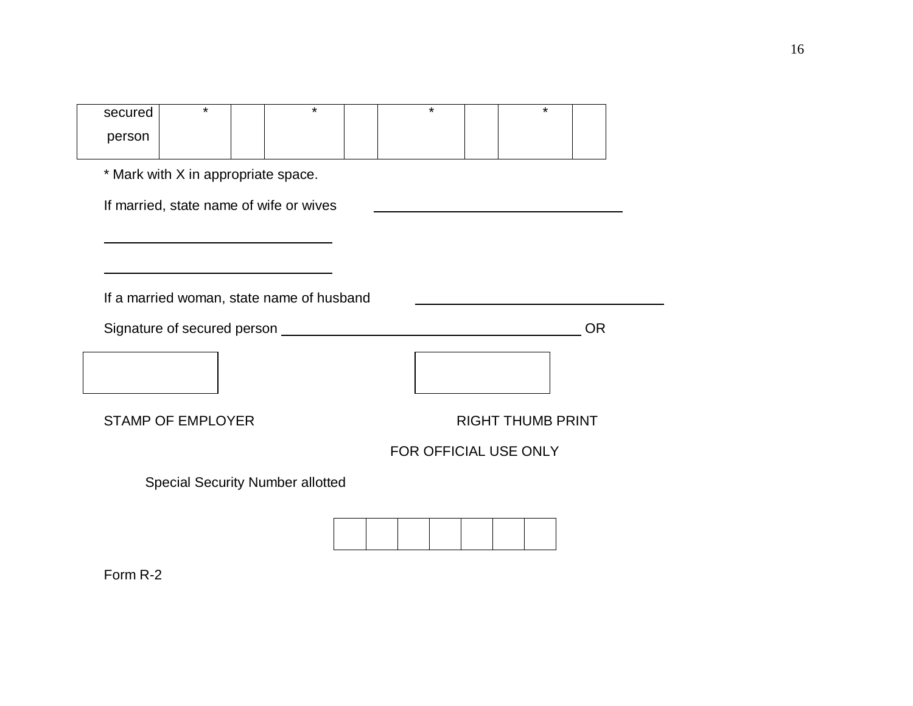| secured                                 | $\star$                                   |  | $\star$                                 |  | $\star$               |  |  |                          | $\star$ |  |  |
|-----------------------------------------|-------------------------------------------|--|-----------------------------------------|--|-----------------------|--|--|--------------------------|---------|--|--|
| person                                  |                                           |  |                                         |  |                       |  |  |                          |         |  |  |
|                                         |                                           |  |                                         |  |                       |  |  |                          |         |  |  |
| * Mark with X in appropriate space.     |                                           |  |                                         |  |                       |  |  |                          |         |  |  |
| If married, state name of wife or wives |                                           |  |                                         |  |                       |  |  |                          |         |  |  |
|                                         |                                           |  |                                         |  |                       |  |  |                          |         |  |  |
|                                         |                                           |  |                                         |  |                       |  |  |                          |         |  |  |
|                                         |                                           |  |                                         |  |                       |  |  |                          |         |  |  |
|                                         | If a married woman, state name of husband |  |                                         |  |                       |  |  |                          |         |  |  |
| <b>OR</b>                               |                                           |  |                                         |  |                       |  |  |                          |         |  |  |
|                                         |                                           |  |                                         |  |                       |  |  |                          |         |  |  |
|                                         |                                           |  |                                         |  |                       |  |  |                          |         |  |  |
|                                         |                                           |  |                                         |  |                       |  |  |                          |         |  |  |
|                                         | <b>STAMP OF EMPLOYER</b>                  |  |                                         |  |                       |  |  | <b>RIGHT THUMB PRINT</b> |         |  |  |
|                                         |                                           |  |                                         |  | FOR OFFICIAL USE ONLY |  |  |                          |         |  |  |
|                                         |                                           |  | <b>Special Security Number allotted</b> |  |                       |  |  |                          |         |  |  |
|                                         |                                           |  |                                         |  |                       |  |  |                          |         |  |  |
|                                         |                                           |  |                                         |  |                       |  |  |                          |         |  |  |
|                                         |                                           |  |                                         |  |                       |  |  |                          |         |  |  |
|                                         |                                           |  |                                         |  |                       |  |  |                          |         |  |  |

Form R-2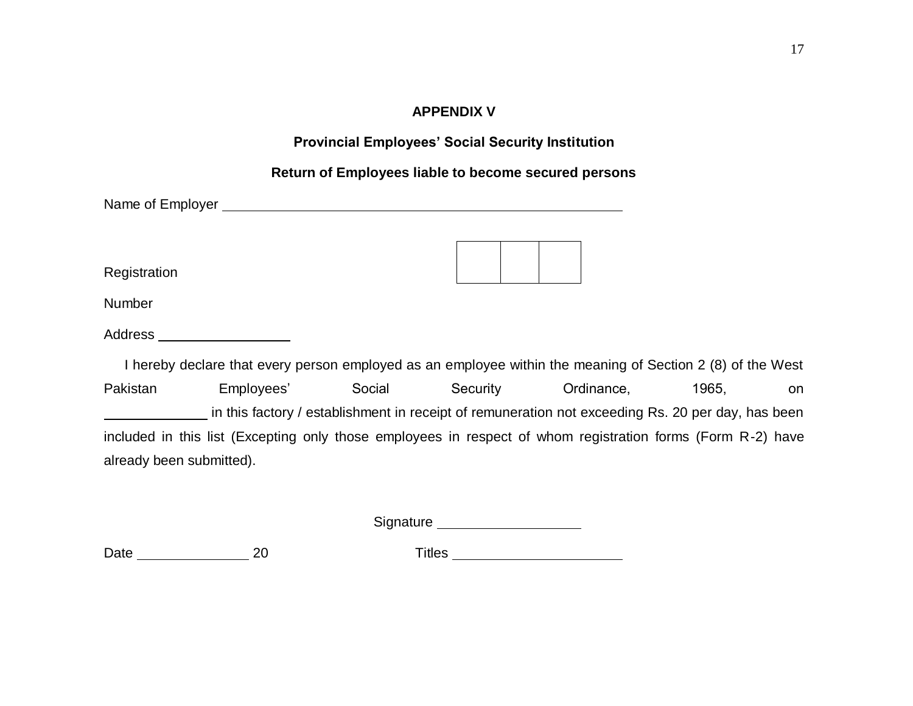## **APPENDIX V**

<span id="page-16-0"></span>

| <b>Provincial Employees' Social Security Institution</b>                                                                                                                                                                             |                                                                                                             |  |  |  |  |  |  |  |  |
|--------------------------------------------------------------------------------------------------------------------------------------------------------------------------------------------------------------------------------------|-------------------------------------------------------------------------------------------------------------|--|--|--|--|--|--|--|--|
| Return of Employees liable to become secured persons                                                                                                                                                                                 |                                                                                                             |  |  |  |  |  |  |  |  |
| Name of Employer <u>example and the set of the set of the set of the set of the set of the set of the set of the set of the set of the set of the set of the set of the set of the set of the set of the set of the set of the s</u> |                                                                                                             |  |  |  |  |  |  |  |  |
| Registration                                                                                                                                                                                                                         |                                                                                                             |  |  |  |  |  |  |  |  |
| Number                                                                                                                                                                                                                               |                                                                                                             |  |  |  |  |  |  |  |  |
| Address                                                                                                                                                                                                                              |                                                                                                             |  |  |  |  |  |  |  |  |
|                                                                                                                                                                                                                                      | I hereby declare that every person employed as an employee within the meaning of Section 2 (8) of the West  |  |  |  |  |  |  |  |  |
| Social<br>Pakistan<br>Employees'                                                                                                                                                                                                     | Security Ordinance,<br>1965.<br>on                                                                          |  |  |  |  |  |  |  |  |
|                                                                                                                                                                                                                                      | in this factory / establishment in receipt of remuneration not exceeding Rs. 20 per day, has been           |  |  |  |  |  |  |  |  |
|                                                                                                                                                                                                                                      | included in this list (Excepting only those employees in respect of whom registration forms (Form R-2) have |  |  |  |  |  |  |  |  |
| already been submitted).                                                                                                                                                                                                             |                                                                                                             |  |  |  |  |  |  |  |  |

Signature \_\_\_\_\_\_\_\_\_\_\_\_\_\_\_\_\_\_\_\_\_

Date 20 Titles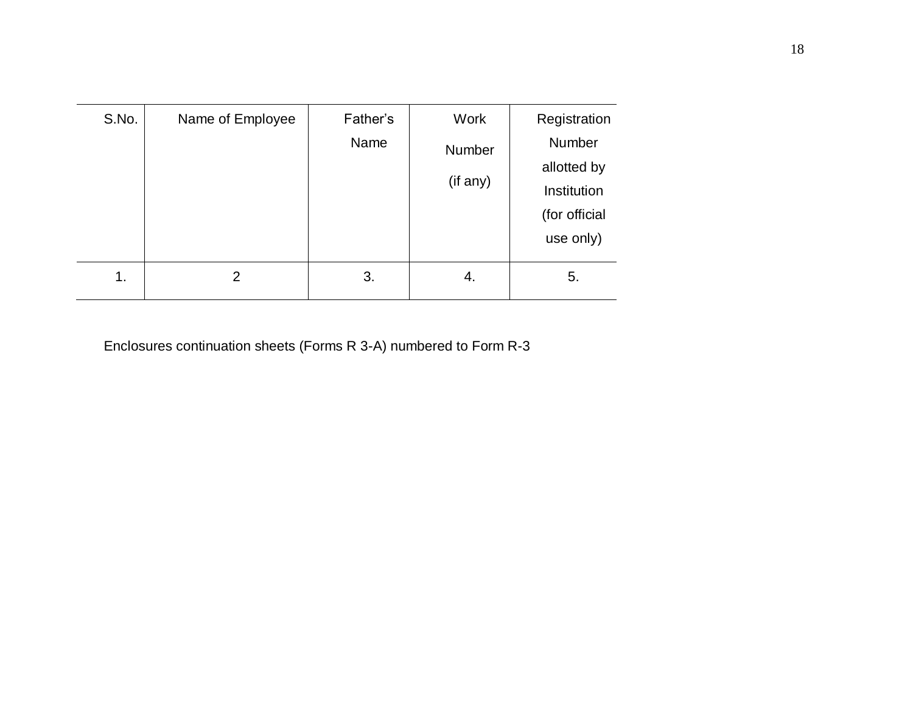| S.No. | Name of Employee | Father's<br>Name | Work<br>Number<br>(if any) | Registration<br>Number<br>allotted by<br>Institution<br>(for official<br>use only) |
|-------|------------------|------------------|----------------------------|------------------------------------------------------------------------------------|
| 1.    | 2                | 3.               | 4.                         | 5.                                                                                 |

Enclosures continuation sheets (Forms R 3-A) numbered to Form R-3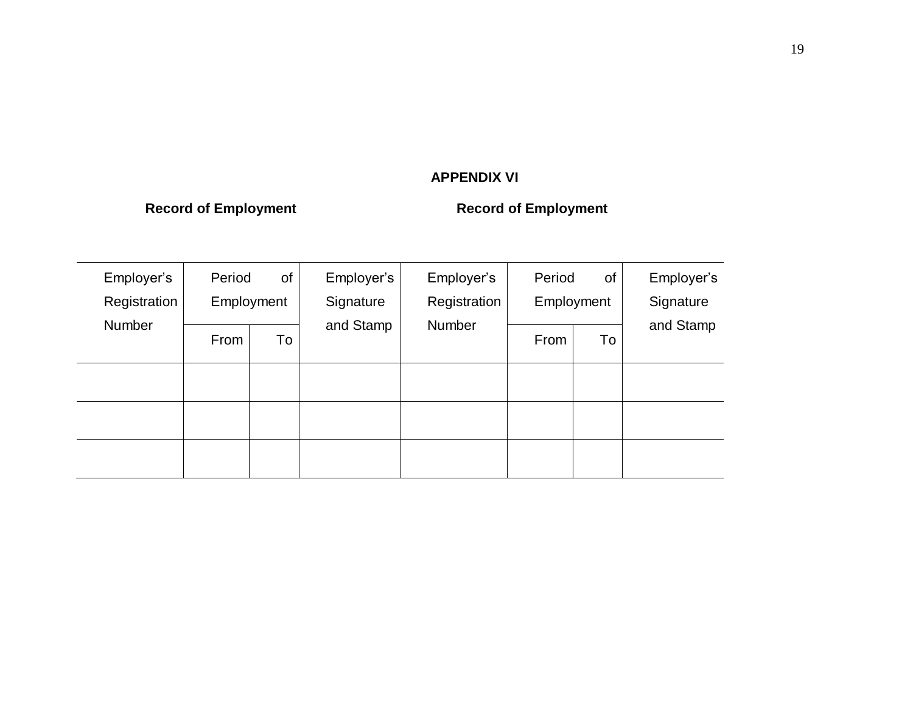## **APPENDIX VI**

## **Record of Employment Record of Employment**

| Employer's<br>Registration | Period | of<br>Employment | Employer's<br>Signature | Employer's<br>Registration | Period | of<br>Employment | Employer's<br>Signature |  |
|----------------------------|--------|------------------|-------------------------|----------------------------|--------|------------------|-------------------------|--|
| Number                     | From   | To               | and Stamp               | Number                     | From   | To               | and Stamp               |  |
|                            |        |                  |                         |                            |        |                  |                         |  |
|                            |        |                  |                         |                            |        |                  |                         |  |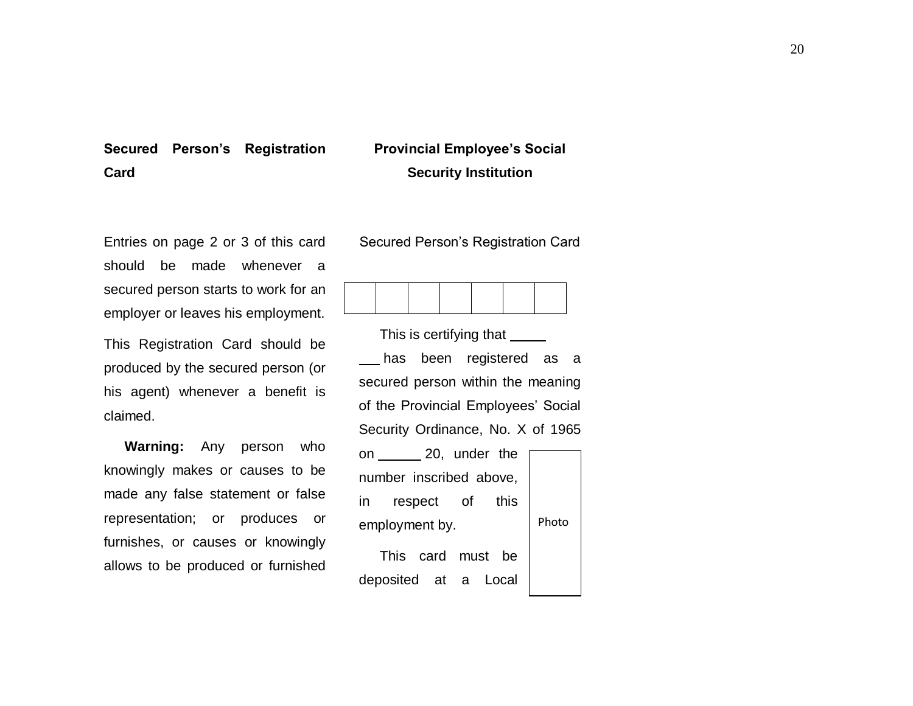## **Secured Person's Registration Card**

## **Provincial Employee's Social Security Institution**

Entries on page 2 or 3 of this card should be made whenever a secured person starts to work for an employer or leaves his employment.

This Registration Card should be produced by the secured person (or his agent) whenever a benefit is claimed.

**Warning:** Any person who knowingly makes or causes to be made any false statement or false representation; or produces or furnishes, or causes or knowingly allows to be produced or furnished Secured Person's Registration Card



This is certifying that \_\_\_\_\_\_

has been registered as a secured person within the meaning of the Provincial Employees' Social Security Ordinance, No. X of 1965 on 20, under the number inscribed above,

in respect of this employment by.

Photo

This card must be deposited at a Local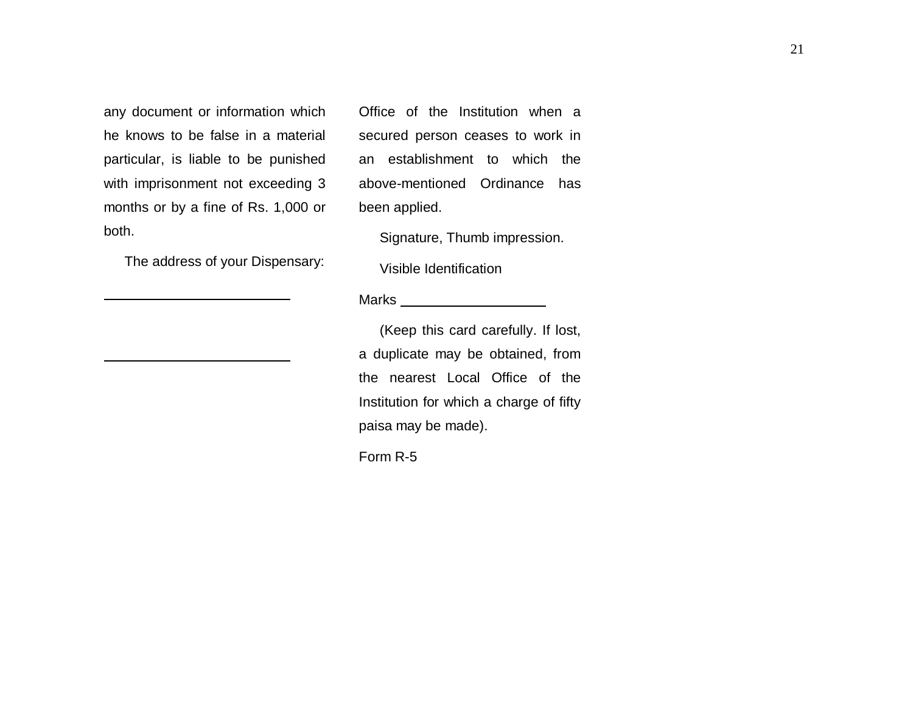any document or information which he knows to be false in a material particular, is liable to be punished with imprisonment not exceeding 3 months or by a fine of Rs. 1,000 or both.

The address of your Dispensary:

Office of the Institution when a secured person ceases to work in an establishment to which the above-mentioned Ordinance has been applied.

Signature, Thumb impression.

Visible Identification

#### Marks

(Keep this card carefully. If lost, a duplicate may be obtained, from the nearest Local Office of the Institution for which a charge of fifty paisa may be made).

Form R-5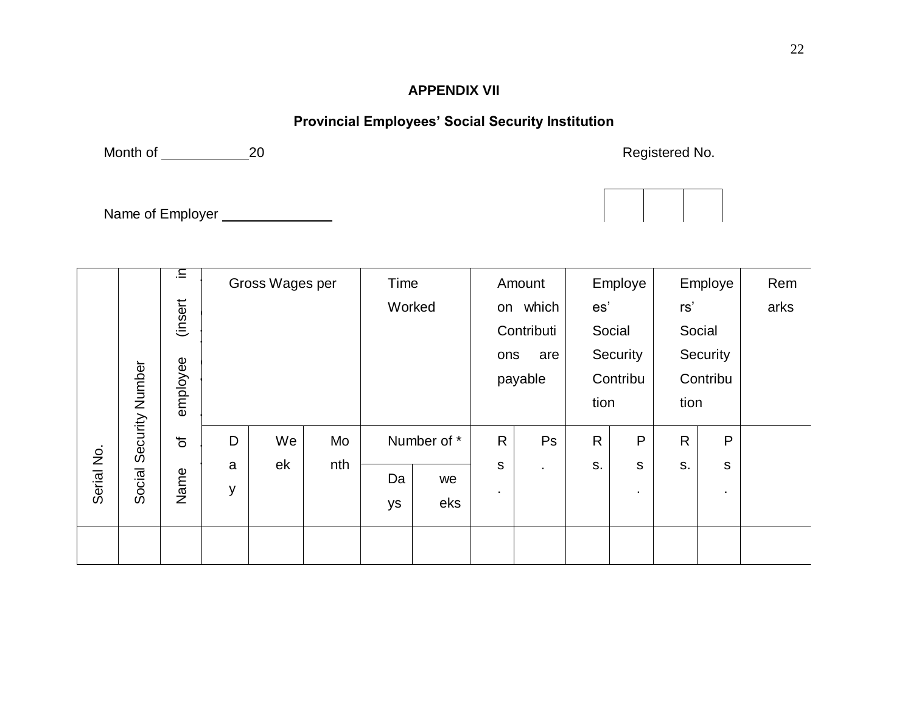## **APPENDIX VII**

## **Provincial Employees' Social Security Institution**

<span id="page-21-0"></span>Month of \_\_\_\_\_\_\_\_\_\_\_\_\_\_\_20 20 and the control of the control of the control of the control of the control of the control of the control of the control of the control of the control of the control of the control of the cont

Name of Employer \_\_\_\_\_\_\_\_\_\_\_\_\_\_\_



|            |                 | Ξ.       | Gross Wages per |    |     | Time   |             |              | Amount     | Employe      |                  |              | Employe     | Rem  |
|------------|-----------------|----------|-----------------|----|-----|--------|-------------|--------------|------------|--------------|------------------|--------------|-------------|------|
|            |                 | (insert  |                 |    |     | Worked |             |              | on which   | es'          |                  | rs'          |             | arks |
|            |                 |          |                 |    |     |        |             |              | Contributi |              | Social<br>Social |              |             |      |
|            |                 |          |                 |    |     |        |             | ons          | are        | Security     |                  | Security     |             |      |
|            | Security Number |          |                 |    |     |        |             |              | payable    |              | Contribu         |              | Contribu    |      |
|            |                 | employee |                 |    |     |        |             |              |            | tion         |                  | tion         |             |      |
|            |                 | $\sigma$ | D               | We | Mo  |        | Number of * | $\mathsf{R}$ | Ps         | $\mathsf{R}$ | P                | $\mathsf{R}$ | P           |      |
|            |                 |          | a               | ek | nth |        |             | $\mathsf{s}$ | ٠          | S.           | $\mathsf{s}$     | S.           | $\mathsf S$ |      |
| Serial No. | Social          | Name     | y               |    |     | Da     | we          |              |            |              |                  |              |             |      |
|            |                 |          |                 |    |     | ys     | eks         | ٠            |            |              | $\bullet$        |              | ٠           |      |
|            |                 |          |                 |    |     |        |             |              |            |              |                  |              |             |      |
|            |                 |          |                 |    |     |        |             |              |            |              |                  |              |             |      |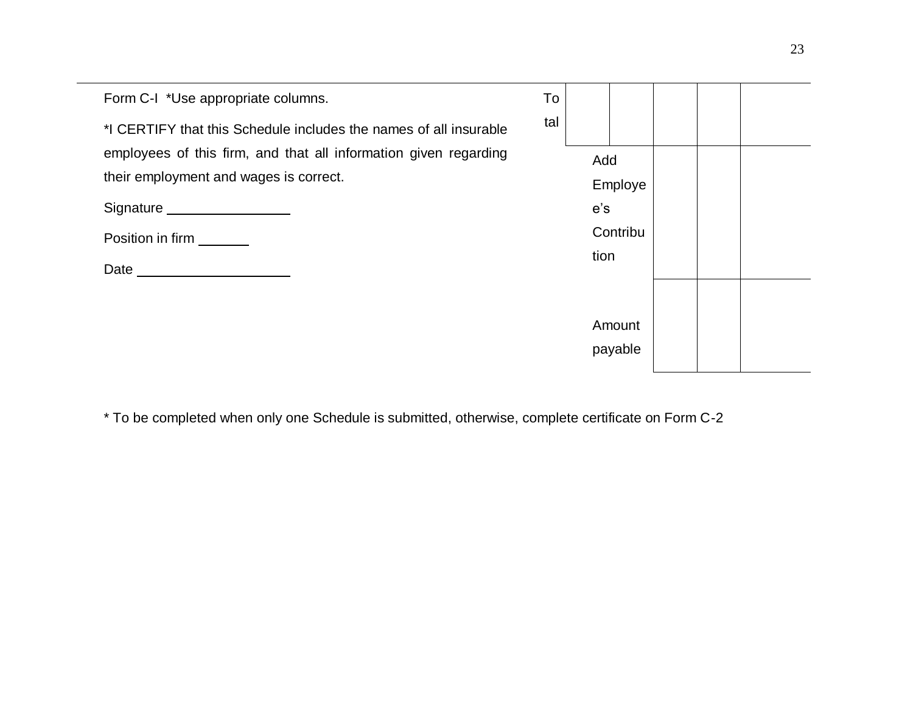| Form C-I *Use appropriate columns.                                | To  |      |          |  |  |
|-------------------------------------------------------------------|-----|------|----------|--|--|
| *I CERTIFY that this Schedule includes the names of all insurable | tal |      |          |  |  |
| employees of this firm, and that all information given regarding  |     | Add  |          |  |  |
| their employment and wages is correct.                            |     |      | Employe  |  |  |
| Signature Management Communication                                |     | e's  |          |  |  |
| Position in firm                                                  |     |      | Contribu |  |  |
| Date _________                                                    |     | tion |          |  |  |
|                                                                   |     |      |          |  |  |
|                                                                   |     |      | Amount   |  |  |
|                                                                   |     |      | payable  |  |  |

\* To be completed when only one Schedule is submitted, otherwise, complete certificate on Form C-2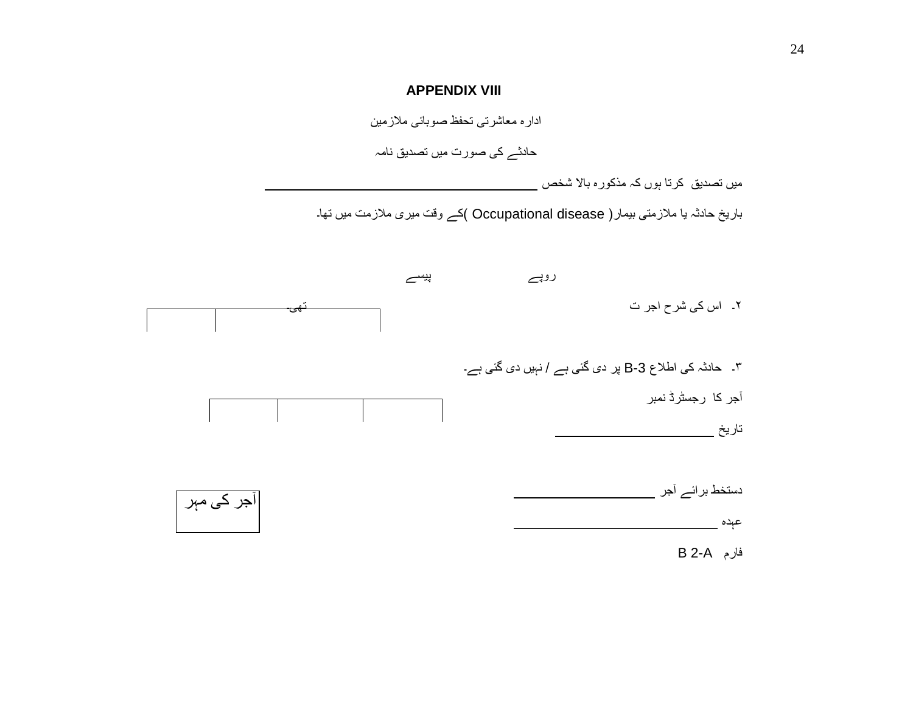#### **APPENDIX VIII**

ادارہ معاشرتی تحفظ صوبائی مالزمین

حادثے کی صورت میں تصدیق نامہ

میں تصدیق کرتا ہوں کہ مذکورہ باال شخص

باریخ حادثہ یا ملازمتی بیمار( Occupational disease )کے وقت میری ملازمت میں تھا۔

<span id="page-23-0"></span>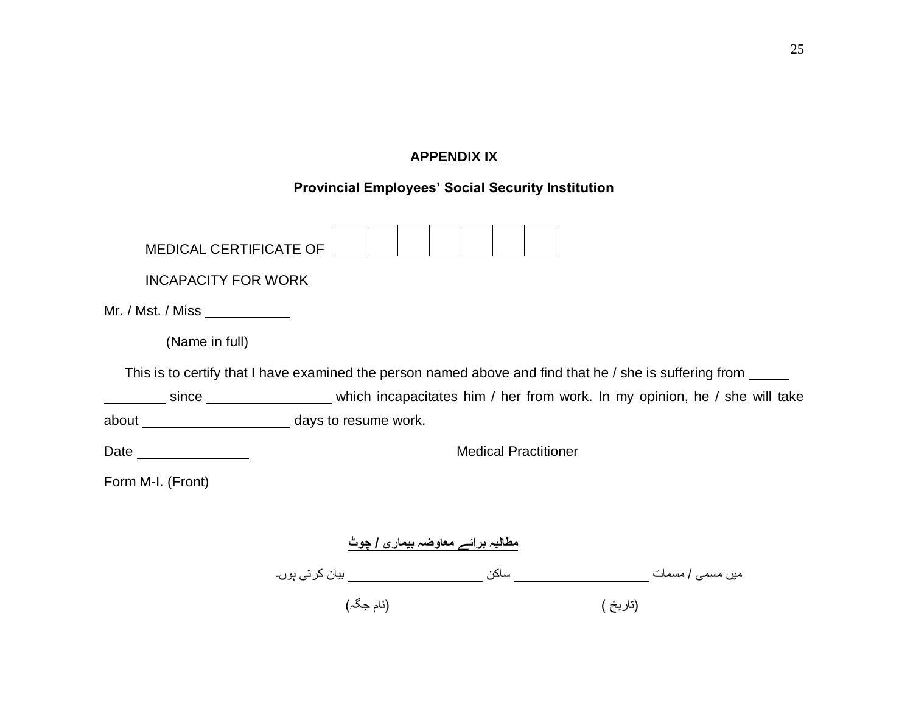## **APPENDIX IX**

## **Provincial Employees' Social Security Institution**

<span id="page-24-0"></span>

| <b>MEDICAL CERTIFICATE OF</b> |                             |  |  |                                  |  |  |  |                                                                                                               |
|-------------------------------|-----------------------------|--|--|----------------------------------|--|--|--|---------------------------------------------------------------------------------------------------------------|
| <b>INCAPACITY FOR WORK</b>    |                             |  |  |                                  |  |  |  |                                                                                                               |
|                               |                             |  |  |                                  |  |  |  |                                                                                                               |
| Mr. / Mst. / Miss $\_\_$      |                             |  |  |                                  |  |  |  |                                                                                                               |
| (Name in full)                |                             |  |  |                                  |  |  |  |                                                                                                               |
|                               |                             |  |  |                                  |  |  |  | This is to certify that I have examined the person named above and find that he / she is suffering from _____ |
|                               |                             |  |  |                                  |  |  |  | since ____________________________which incapacitates him / her from work. In my opinion, he / she will take  |
|                               |                             |  |  |                                  |  |  |  |                                                                                                               |
| Date $\_\_$                   | <b>Medical Practitioner</b> |  |  |                                  |  |  |  |                                                                                                               |
| Form M-I. (Front)             |                             |  |  |                                  |  |  |  |                                                                                                               |
|                               |                             |  |  |                                  |  |  |  |                                                                                                               |
|                               |                             |  |  | مطالبہ برائے معاوضہ بیماری / چوٹ |  |  |  |                                                                                                               |
|                               |                             |  |  |                                  |  |  |  |                                                                                                               |
|                               | (نام جگہ)                   |  |  |                                  |  |  |  | (تاريخ )                                                                                                      |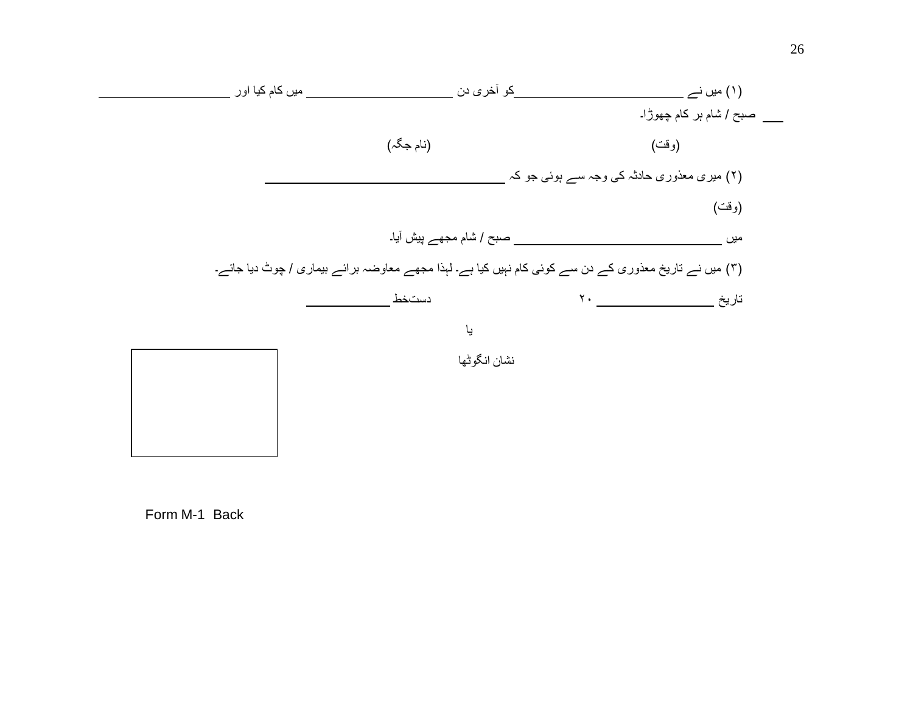

Form M-1 Back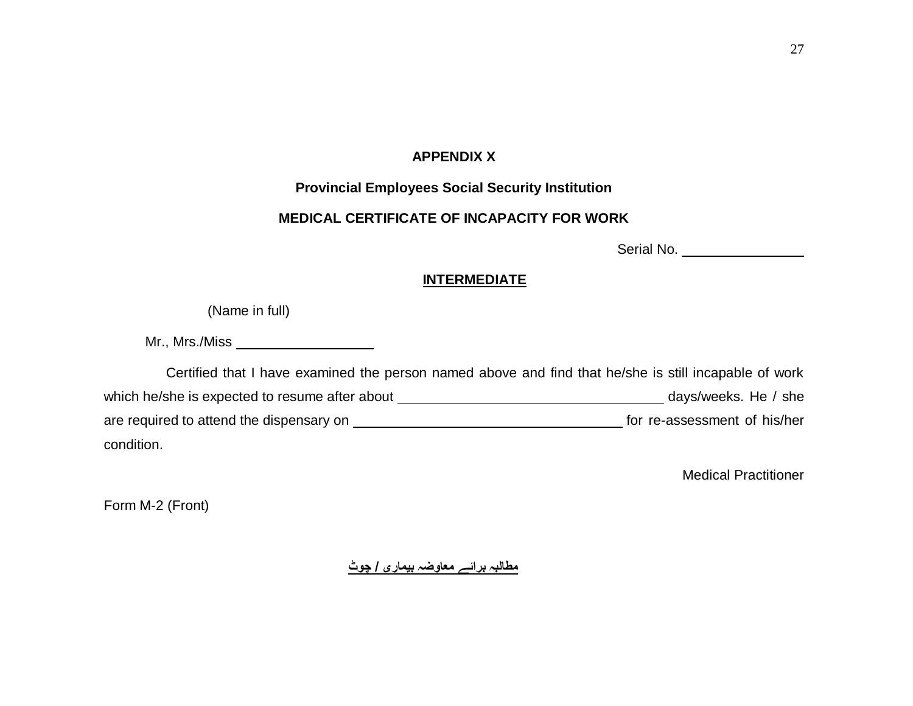#### **APPENDIX X**

## **Provincial Employees Social Security Institution**

## **MEDICAL CERTIFICATE OF INCAPACITY FOR WORK**

Serial No.

## **INTERMEDIATE**

(Name in full)

<span id="page-26-0"></span>Mr., Mrs./Miss

Certified that I have examined the person named above and find that he/she is still incapable of work which he/she is expected to resume after about days/weeks. He / she are required to attend the dispensary on **Form Manual Communist Communist Communist** for re-assessment of his/her condition.

Medical Practitioner

Form M-2 (Front)

**مطالبہ برائے معاوضہ بیماری / چوٹ**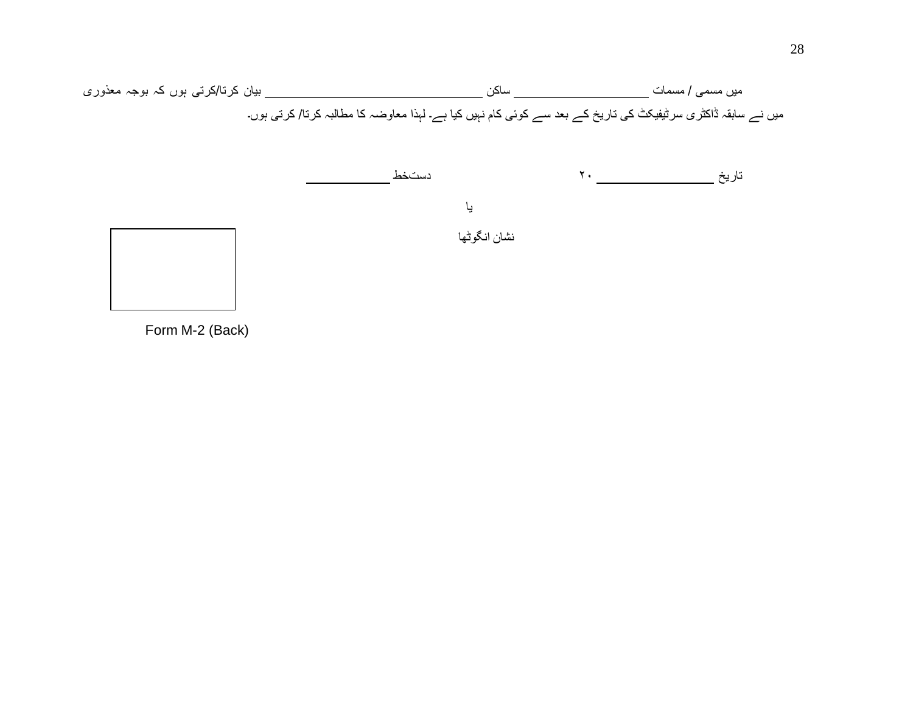



Form M-2 (Back)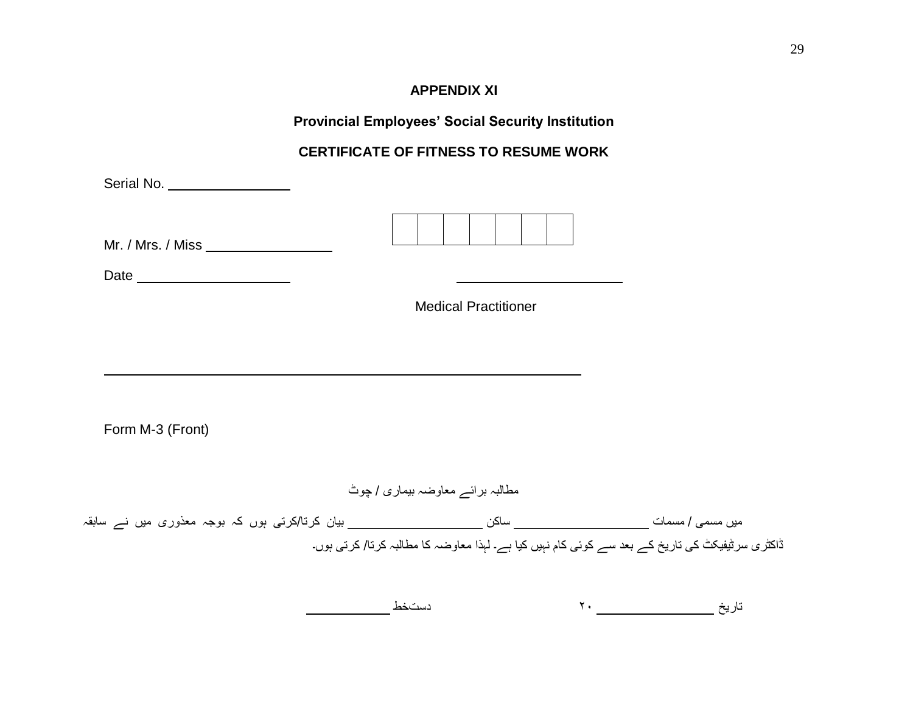## **APPENDIX XI**

**Provincial Employees' Social Security Institution** 

## **CERTIFICATE OF FITNESS TO RESUME WORK**

<span id="page-28-0"></span>

| Serial No. ___________________      |                                  |                                                                                                 |
|-------------------------------------|----------------------------------|-------------------------------------------------------------------------------------------------|
| Mr. / Mrs. / Miss _________________ |                                  |                                                                                                 |
| Date                                |                                  |                                                                                                 |
|                                     | <b>Medical Practitioner</b>      |                                                                                                 |
|                                     |                                  |                                                                                                 |
|                                     |                                  |                                                                                                 |
|                                     |                                  |                                                                                                 |
| Form M-3 (Front)                    |                                  |                                                                                                 |
|                                     |                                  |                                                                                                 |
|                                     | مطالبہ برائے معاوضہ بیماری / چوٹ |                                                                                                 |
|                                     |                                  |                                                                                                 |
|                                     |                                  | ڈاکٹر ی سرٹیفیکٹ کی تاریخ کے بعد سے کوئی کام نہیں کیا ہے۔ لہذا معاوضہ کا مطالبہ کرتا/ کرتی ہوں۔ |
|                                     |                                  |                                                                                                 |